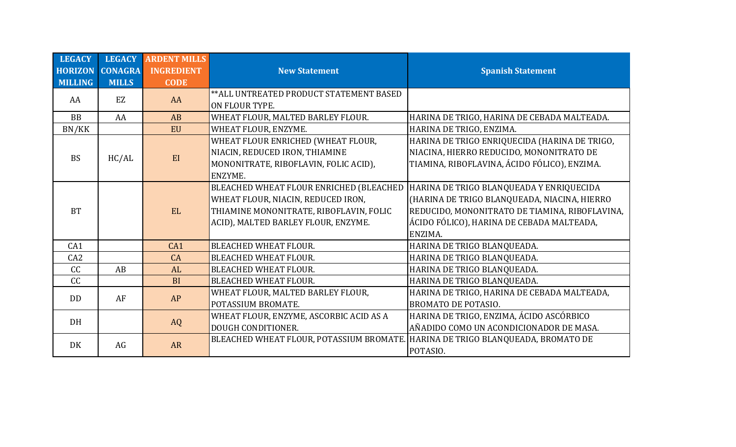| <b>LEGACY</b>  | <b>LEGACY</b>  | <b>ARDENT MILLS</b> |                                          |                                                |
|----------------|----------------|---------------------|------------------------------------------|------------------------------------------------|
| <b>HORIZON</b> | <b>CONAGRA</b> | <b>INGREDIENT</b>   | <b>New Statement</b>                     | <b>Spanish Statement</b>                       |
| <b>MILLING</b> | <b>MILLS</b>   | <b>CODE</b>         |                                          |                                                |
| AA             | EZ             | AA                  | ** ALL UNTREATED PRODUCT STATEMENT BASED |                                                |
|                |                |                     | ON FLOUR TYPE.                           |                                                |
| <b>BB</b>      | AA             | AB                  | WHEAT FLOUR, MALTED BARLEY FLOUR.        | HARINA DE TRIGO, HARINA DE CEBADA MALTEADA.    |
| BN/KK          |                | <b>EU</b>           | WHEAT FLOUR, ENZYME.                     | HARINA DE TRIGO, ENZIMA.                       |
|                |                |                     | WHEAT FLOUR ENRICHED (WHEAT FLOUR,       | HARINA DE TRIGO ENRIQUECIDA (HARINA DE TRIGO,  |
| <b>BS</b>      | HC/AL          | EI                  | NIACIN, REDUCED IRON, THIAMINE           | NIACINA, HIERRO REDUCIDO, MONONITRATO DE       |
|                |                |                     | MONONITRATE, RIBOFLAVIN, FOLIC ACID),    | TIAMINA, RIBOFLAVINA, ÁCIDO FÓLICO), ENZIMA.   |
|                |                |                     | ENZYME.                                  |                                                |
|                |                |                     | BLEACHED WHEAT FLOUR ENRICHED (BLEACHED  | HARINA DE TRIGO BLANQUEADA Y ENRIQUECIDA       |
|                |                |                     | WHEAT FLOUR, NIACIN, REDUCED IRON,       | (HARINA DE TRIGO BLANQUEADA, NIACINA, HIERRO   |
| <b>BT</b>      |                | EL.                 | THIAMINE MONONITRATE, RIBOFLAVIN, FOLIC  | REDUCIDO, MONONITRATO DE TIAMINA, RIBOFLAVINA, |
|                |                |                     | ACID), MALTED BARLEY FLOUR, ENZYME.      | ÁCIDO FÓLICO), HARINA DE CEBADA MALTEADA,      |
|                |                |                     |                                          | ENZIMA.                                        |
| CA1            |                | CA1                 | <b>BLEACHED WHEAT FLOUR.</b>             | HARINA DE TRIGO BLANQUEADA.                    |
| CA2            |                | CA                  | <b>BLEACHED WHEAT FLOUR.</b>             | HARINA DE TRIGO BLANQUEADA.                    |
| cc             | AB             | <b>AL</b>           | <b>BLEACHED WHEAT FLOUR.</b>             | HARINA DE TRIGO BLANQUEADA.                    |
| CC             |                | <b>BI</b>           | <b>BLEACHED WHEAT FLOUR.</b>             | HARINA DE TRIGO BLANQUEADA.                    |
| <b>DD</b>      | AF             | <b>AP</b>           | WHEAT FLOUR, MALTED BARLEY FLOUR,        | HARINA DE TRIGO, HARINA DE CEBADA MALTEADA,    |
|                |                |                     | POTASSIUM BROMATE.                       | <b>BROMATO DE POTASIO.</b>                     |
| DH             |                |                     | WHEAT FLOUR, ENZYME, ASCORBIC ACID AS A  | HARINA DE TRIGO, ENZIMA, ÁCIDO ASCÓRBICO       |
|                |                | <b>AQ</b>           | DOUGH CONDITIONER.                       | AÑADIDO COMO UN ACONDICIONADOR DE MASA.        |
| DK             | AG             | <b>AR</b>           | BLEACHED WHEAT FLOUR, POTASSIUM BROMATE. | HARINA DE TRIGO BLANQUEADA, BROMATO DE         |
|                |                |                     |                                          | POTASIO.                                       |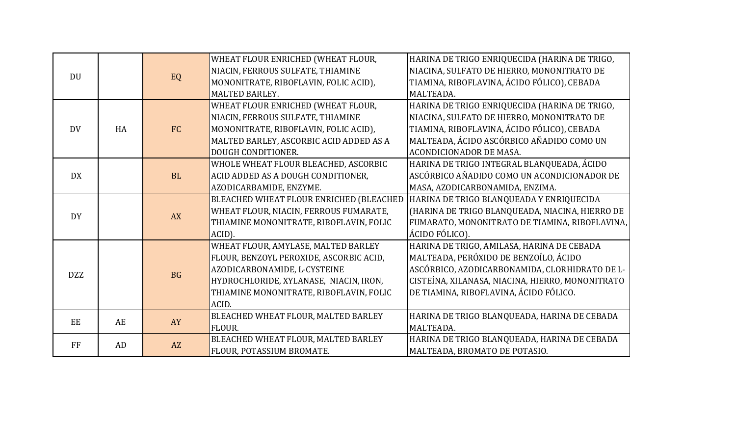|            |    |           | WHEAT FLOUR ENRICHED (WHEAT FLOUR,      | HARINA DE TRIGO ENRIQUECIDA (HARINA DE TRIGO,    |
|------------|----|-----------|-----------------------------------------|--------------------------------------------------|
| <b>DU</b>  |    |           | NIACIN, FERROUS SULFATE, THIAMINE       | NIACINA, SULFATO DE HIERRO, MONONITRATO DE       |
|            |    | EQ        | MONONITRATE, RIBOFLAVIN, FOLIC ACID),   | TIAMINA, RIBOFLAVINA, ÁCIDO FÓLICO), CEBADA      |
|            |    |           | MALTED BARLEY.                          | MALTEADA.                                        |
|            |    |           | WHEAT FLOUR ENRICHED (WHEAT FLOUR,      | HARINA DE TRIGO ENRIQUECIDA (HARINA DE TRIGO,    |
|            |    |           | NIACIN, FERROUS SULFATE, THIAMINE       | NIACINA, SULFATO DE HIERRO, MONONITRATO DE       |
| <b>DV</b>  | HA | FC        | MONONITRATE, RIBOFLAVIN, FOLIC ACID),   | TIAMINA, RIBOFLAVINA, ÁCIDO FÓLICO), CEBADA      |
|            |    |           | MALTED BARLEY, ASCORBIC ACID ADDED AS A | MALTEADA, ÁCIDO ASCÓRBICO AÑADIDO COMO UN        |
|            |    |           | DOUGH CONDITIONER.                      | <b>ACONDICIONADOR DE MASA.</b>                   |
|            |    |           | WHOLE WHEAT FLOUR BLEACHED, ASCORBIC    | HARINA DE TRIGO INTEGRAL BLANQUEADA, ÁCIDO       |
| <b>DX</b>  |    | <b>BL</b> | ACID ADDED AS A DOUGH CONDITIONER,      | ASCÓRBICO AÑADIDO COMO UN ACONDICIONADOR DE      |
|            |    |           | AZODICARBAMIDE, ENZYME.                 | MASA, AZODICARBONAMIDA, ENZIMA.                  |
|            |    |           | BLEACHED WHEAT FLOUR ENRICHED (BLEACHED | HARINA DE TRIGO BLANQUEADA Y ENRIQUECIDA         |
| <b>DY</b>  |    | <b>AX</b> | WHEAT FLOUR, NIACIN, FERROUS FUMARATE,  | (HARINA DE TRIGO BLANQUEADA, NIACINA, HIERRO DE  |
|            |    |           | THIAMINE MONONITRATE, RIBOFLAVIN, FOLIC | FUMARATO, MONONITRATO DE TIAMINA, RIBOFLAVINA,   |
|            |    |           | ACID).                                  | ÁCIDO FÓLICO).                                   |
|            |    |           | WHEAT FLOUR, AMYLASE, MALTED BARLEY     | HARINA DE TRIGO, AMILASA, HARINA DE CEBADA       |
|            |    |           | FLOUR, BENZOYL PEROXIDE, ASCORBIC ACID, | MALTEADA, PERÓXIDO DE BENZOÍLO, ÁCIDO            |
| <b>DZZ</b> |    | <b>BG</b> | AZODICARBONAMIDE, L-CYSTEINE            | ASCÓRBICO, AZODICARBONAMIDA, CLORHIDRATO DE L-   |
|            |    |           | HYDROCHLORIDE, XYLANASE, NIACIN, IRON,  | CISTEÍNA, XILANASA, NIACINA, HIERRO, MONONITRATO |
|            |    |           | THIAMINE MONONITRATE, RIBOFLAVIN, FOLIC | DE TIAMINA, RIBOFLAVINA, ÁCIDO FÓLICO.           |
|            |    |           | ACID.                                   |                                                  |
| EE         | AE |           | BLEACHED WHEAT FLOUR, MALTED BARLEY     | HARINA DE TRIGO BLANQUEADA, HARINA DE CEBADA     |
|            |    | AY        | FLOUR.                                  | MALTEADA.                                        |
| FF         | AD |           | BLEACHED WHEAT FLOUR, MALTED BARLEY     | HARINA DE TRIGO BLANQUEADA, HARINA DE CEBADA     |
|            |    | AZ        | FLOUR, POTASSIUM BROMATE.               | MALTEADA, BROMATO DE POTASIO.                    |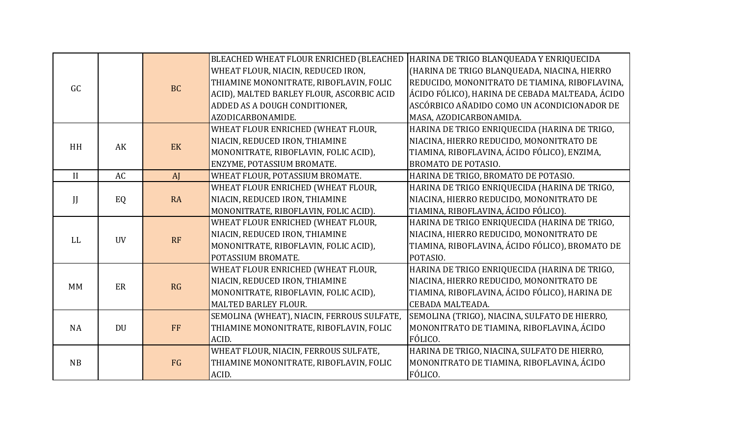|              |           |                        | BLEACHED WHEAT FLOUR ENRICHED (BLEACHED    | HARINA DE TRIGO BLANQUEADA Y ENRIQUECIDA        |
|--------------|-----------|------------------------|--------------------------------------------|-------------------------------------------------|
|              |           |                        | WHEAT FLOUR, NIACIN, REDUCED IRON,         | (HARINA DE TRIGO BLANQUEADA, NIACINA, HIERRO    |
| GC           |           | <b>BC</b>              | THIAMINE MONONITRATE, RIBOFLAVIN, FOLIC    | REDUCIDO, MONONITRATO DE TIAMINA, RIBOFLAVINA,  |
|              |           |                        | ACID), MALTED BARLEY FLOUR, ASCORBIC ACID  | ÁCIDO FÓLICO), HARINA DE CEBADA MALTEADA, ÁCIDO |
|              |           |                        | ADDED AS A DOUGH CONDITIONER,              | ASCÓRBICO AÑADIDO COMO UN ACONDICIONADOR DE     |
|              |           |                        | AZODICARBONAMIDE.                          | MASA, AZODICARBONAMIDA.                         |
|              |           |                        | WHEAT FLOUR ENRICHED (WHEAT FLOUR,         | HARINA DE TRIGO ENRIQUECIDA (HARINA DE TRIGO,   |
| HH           | AK        |                        | NIACIN, REDUCED IRON, THIAMINE             | NIACINA, HIERRO REDUCIDO, MONONITRATO DE        |
|              |           | EK                     | MONONITRATE, RIBOFLAVIN, FOLIC ACID),      | TIAMINA, RIBOFLAVINA, ÁCIDO FÓLICO), ENZIMA,    |
|              |           |                        | ENZYME, POTASSIUM BROMATE.                 | <b>BROMATO DE POTASIO.</b>                      |
| II           | AC        | AJ                     | WHEAT FLOUR, POTASSIUM BROMATE.            | HARINA DE TRIGO, BROMATO DE POTASIO.            |
|              |           |                        | WHEAT FLOUR ENRICHED (WHEAT FLOUR,         | HARINA DE TRIGO ENRIQUECIDA (HARINA DE TRIGO,   |
| $\mathbf{J}$ | EQ        | <b>RA</b>              | NIACIN, REDUCED IRON, THIAMINE             | NIACINA, HIERRO REDUCIDO, MONONITRATO DE        |
|              |           |                        | MONONITRATE, RIBOFLAVIN, FOLIC ACID).      | TIAMINA, RIBOFLAVINA, ÁCIDO FÓLICO).            |
|              |           |                        | WHEAT FLOUR ENRICHED (WHEAT FLOUR,         | HARINA DE TRIGO ENRIQUECIDA (HARINA DE TRIGO,   |
| <b>LL</b>    |           | <b>UV</b><br><b>RF</b> | NIACIN, REDUCED IRON, THIAMINE             | NIACINA, HIERRO REDUCIDO, MONONITRATO DE        |
|              |           |                        | MONONITRATE, RIBOFLAVIN, FOLIC ACID),      | TIAMINA, RIBOFLAVINA, ÁCIDO FÓLICO), BROMATO DE |
|              |           |                        | POTASSIUM BROMATE.                         | POTASIO.                                        |
|              |           |                        | WHEAT FLOUR ENRICHED (WHEAT FLOUR,         | HARINA DE TRIGO ENRIQUECIDA (HARINA DE TRIGO,   |
| <b>MM</b>    | ER        | RG                     | NIACIN, REDUCED IRON, THIAMINE             | NIACINA, HIERRO REDUCIDO, MONONITRATO DE        |
|              |           |                        | MONONITRATE, RIBOFLAVIN, FOLIC ACID),      | TIAMINA, RIBOFLAVINA, ÁCIDO FÓLICO), HARINA DE  |
|              |           |                        | MALTED BARLEY FLOUR.                       | <b>CEBADA MALTEADA.</b>                         |
|              |           |                        | SEMOLINA (WHEAT), NIACIN, FERROUS SULFATE, | SEMOLINA (TRIGO), NIACINA, SULFATO DE HIERRO,   |
| <b>NA</b>    | <b>DU</b> | FF                     | THIAMINE MONONITRATE, RIBOFLAVIN, FOLIC    | MONONITRATO DE TIAMINA, RIBOFLAVINA, ÁCIDO      |
|              |           |                        | ACID.                                      | FÓLICO.                                         |
|              |           |                        | WHEAT FLOUR, NIACIN, FERROUS SULFATE,      | HARINA DE TRIGO, NIACINA, SULFATO DE HIERRO,    |
| NB           |           | FG                     | THIAMINE MONONITRATE, RIBOFLAVIN, FOLIC    | MONONITRATO DE TIAMINA, RIBOFLAVINA, ÁCIDO      |
|              |           |                        | ACID.                                      | FÓLICO.                                         |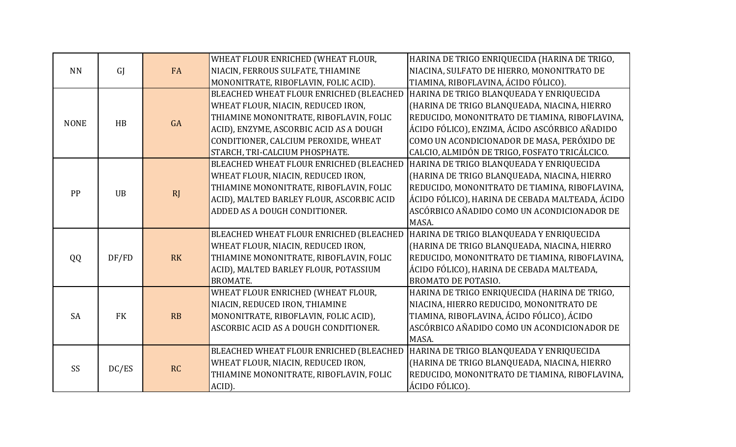|             |           |           | WHEAT FLOUR ENRICHED (WHEAT FLOUR,        | HARINA DE TRIGO ENRIQUECIDA (HARINA DE TRIGO,   |
|-------------|-----------|-----------|-------------------------------------------|-------------------------------------------------|
| <b>NN</b>   | GI        | <b>FA</b> | NIACIN, FERROUS SULFATE, THIAMINE         | NIACINA, SULFATO DE HIERRO, MONONITRATO DE      |
|             |           |           | MONONITRATE, RIBOFLAVIN, FOLIC ACID).     | TIAMINA, RIBOFLAVINA, ÁCIDO FÓLICO).            |
|             |           |           | BLEACHED WHEAT FLOUR ENRICHED (BLEACHED   | HARINA DE TRIGO BLANQUEADA Y ENRIQUECIDA        |
|             |           |           | WHEAT FLOUR, NIACIN, REDUCED IRON,        | (HARINA DE TRIGO BLANQUEADA, NIACINA, HIERRO    |
| <b>NONE</b> | HB        | GA        | THIAMINE MONONITRATE, RIBOFLAVIN, FOLIC   | REDUCIDO, MONONITRATO DE TIAMINA, RIBOFLAVINA,  |
|             |           |           | ACID), ENZYME, ASCORBIC ACID AS A DOUGH   | ÁCIDO FÓLICO), ENZIMA, ÁCIDO ASCÓRBICO AÑADIDO  |
|             |           |           | CONDITIONER, CALCIUM PEROXIDE, WHEAT      | COMO UN ACONDICIONADOR DE MASA, PERÓXIDO DE     |
|             |           |           | STARCH, TRI-CALCIUM PHOSPHATE.            | CALCIO, ALMIDÓN DE TRIGO, FOSFATO TRICÁLCICO.   |
|             |           |           | BLEACHED WHEAT FLOUR ENRICHED (BLEACHED   | HARINA DE TRIGO BLANQUEADA Y ENRIQUECIDA        |
|             |           |           | WHEAT FLOUR, NIACIN, REDUCED IRON,        | (HARINA DE TRIGO BLANQUEADA, NIACINA, HIERRO    |
| PP          | <b>UB</b> |           | THIAMINE MONONITRATE, RIBOFLAVIN, FOLIC   | REDUCIDO, MONONITRATO DE TIAMINA, RIBOFLAVINA,  |
|             |           | <b>RJ</b> | ACID), MALTED BARLEY FLOUR, ASCORBIC ACID | ÁCIDO FÓLICO), HARINA DE CEBADA MALTEADA, ÁCIDO |
|             |           |           | ADDED AS A DOUGH CONDITIONER.             | ASCÓRBICO AÑADIDO COMO UN ACONDICIONADOR DE     |
|             |           |           |                                           | MASA.                                           |
|             |           |           | BLEACHED WHEAT FLOUR ENRICHED (BLEACHED   | HARINA DE TRIGO BLANQUEADA Y ENRIQUECIDA        |
|             |           |           | WHEAT FLOUR, NIACIN, REDUCED IRON,        | (HARINA DE TRIGO BLANQUEADA, NIACINA, HIERRO    |
| QQ          | DF/FD     | <b>RK</b> | THIAMINE MONONITRATE, RIBOFLAVIN, FOLIC   | REDUCIDO, MONONITRATO DE TIAMINA, RIBOFLAVINA,  |
|             |           |           | ACID), MALTED BARLEY FLOUR, POTASSIUM     | ÁCIDO FÓLICO), HARINA DE CEBADA MALTEADA,       |
|             |           |           | <b>BROMATE.</b>                           | <b>BROMATO DE POTASIO.</b>                      |
|             |           |           | WHEAT FLOUR ENRICHED (WHEAT FLOUR,        | HARINA DE TRIGO ENRIQUECIDA (HARINA DE TRIGO,   |
|             |           |           | NIACIN, REDUCED IRON, THIAMINE            | NIACINA, HIERRO REDUCIDO, MONONITRATO DE        |
| <b>SA</b>   | <b>FK</b> | RB        | MONONITRATE, RIBOFLAVIN, FOLIC ACID),     | TIAMINA, RIBOFLAVINA, ÁCIDO FÓLICO), ÁCIDO      |
|             |           |           | ASCORBIC ACID AS A DOUGH CONDITIONER.     | ASCÓRBICO AÑADIDO COMO UN ACONDICIONADOR DE     |
|             |           |           |                                           | MASA.                                           |
|             |           |           | BLEACHED WHEAT FLOUR ENRICHED (BLEACHED   | HARINA DE TRIGO BLANQUEADA Y ENRIQUECIDA        |
| SS          |           | RC        | WHEAT FLOUR, NIACIN, REDUCED IRON,        | (HARINA DE TRIGO BLANQUEADA, NIACINA, HIERRO    |
|             | DC/ES     |           | THIAMINE MONONITRATE, RIBOFLAVIN, FOLIC   | REDUCIDO, MONONITRATO DE TIAMINA, RIBOFLAVINA,  |
|             |           |           | ACID).                                    | ÁCIDO FÓLICO).                                  |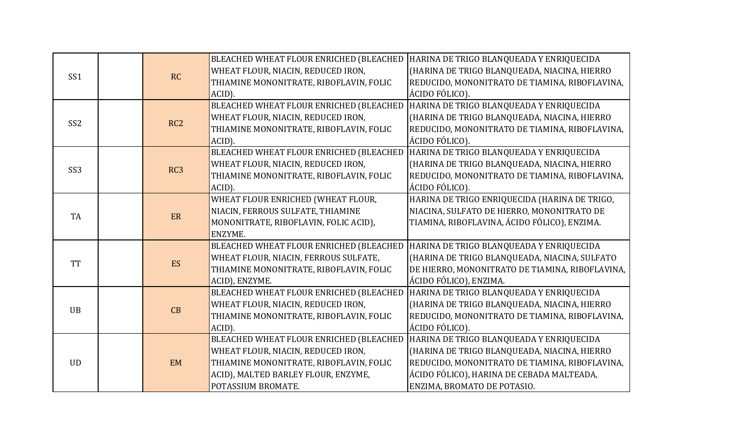|                 |  |                 | BLEACHED WHEAT FLOUR ENRICHED (BLEACHED | HARINA DE TRIGO BLANQUEADA Y ENRIQUECIDA        |
|-----------------|--|-----------------|-----------------------------------------|-------------------------------------------------|
| SS <sub>1</sub> |  |                 | WHEAT FLOUR, NIACIN, REDUCED IRON,      | (HARINA DE TRIGO BLANQUEADA, NIACINA, HIERRO    |
|                 |  | RC              | THIAMINE MONONITRATE, RIBOFLAVIN, FOLIC | REDUCIDO, MONONITRATO DE TIAMINA, RIBOFLAVINA,  |
|                 |  |                 | ACID).                                  | ÁCIDO FÓLICO).                                  |
|                 |  |                 | BLEACHED WHEAT FLOUR ENRICHED (BLEACHED | HARINA DE TRIGO BLANQUEADA Y ENRIQUECIDA        |
| SS <sub>2</sub> |  | RC <sub>2</sub> | WHEAT FLOUR, NIACIN, REDUCED IRON,      | (HARINA DE TRIGO BLANQUEADA, NIACINA, HIERRO    |
|                 |  |                 | THIAMINE MONONITRATE, RIBOFLAVIN, FOLIC | REDUCIDO, MONONITRATO DE TIAMINA, RIBOFLAVINA,  |
|                 |  |                 | ACID).                                  | ÁCIDO FÓLICO).                                  |
|                 |  |                 | BLEACHED WHEAT FLOUR ENRICHED (BLEACHED | HARINA DE TRIGO BLANQUEADA Y ENRIQUECIDA        |
| SS <sub>3</sub> |  | RC <sub>3</sub> | WHEAT FLOUR, NIACIN, REDUCED IRON,      | (HARINA DE TRIGO BLANQUEADA, NIACINA, HIERRO    |
|                 |  |                 | THIAMINE MONONITRATE, RIBOFLAVIN, FOLIC | REDUCIDO, MONONITRATO DE TIAMINA, RIBOFLAVINA,  |
|                 |  |                 | ACID).                                  | ÁCIDO FÓLICO).                                  |
|                 |  |                 | WHEAT FLOUR ENRICHED (WHEAT FLOUR,      | HARINA DE TRIGO ENRIQUECIDA (HARINA DE TRIGO,   |
| <b>TA</b>       |  | ER              | NIACIN, FERROUS SULFATE, THIAMINE       | NIACINA, SULFATO DE HIERRO, MONONITRATO DE      |
|                 |  |                 | MONONITRATE, RIBOFLAVIN, FOLIC ACID),   | TIAMINA, RIBOFLAVINA, ÁCIDO FÓLICO), ENZIMA.    |
|                 |  |                 | ENZYME.                                 |                                                 |
|                 |  |                 | BLEACHED WHEAT FLOUR ENRICHED (BLEACHED | HARINA DE TRIGO BLANQUEADA Y ENRIQUECIDA        |
| <b>TT</b>       |  | ES              | WHEAT FLOUR, NIACIN, FERROUS SULFATE,   | (HARINA DE TRIGO BLANQUEADA, NIACINA, SULFATO   |
|                 |  |                 | THIAMINE MONONITRATE, RIBOFLAVIN, FOLIC | DE HIERRO, MONONITRATO DE TIAMINA, RIBOFLAVINA, |
|                 |  |                 | ACID), ENZYME.                          | ÁCIDO FÓLICO), ENZIMA.                          |
|                 |  |                 | BLEACHED WHEAT FLOUR ENRICHED (BLEACHED | HARINA DE TRIGO BLANQUEADA Y ENRIQUECIDA        |
| <b>UB</b>       |  | CB              | WHEAT FLOUR, NIACIN, REDUCED IRON,      | (HARINA DE TRIGO BLANQUEADA, NIACINA, HIERRO    |
|                 |  |                 | THIAMINE MONONITRATE, RIBOFLAVIN, FOLIC | REDUCIDO, MONONITRATO DE TIAMINA, RIBOFLAVINA,  |
|                 |  |                 | ACID).                                  | ÁCIDO FÓLICO).                                  |
|                 |  |                 | BLEACHED WHEAT FLOUR ENRICHED (BLEACHED | HARINA DE TRIGO BLANQUEADA Y ENRIQUECIDA        |
|                 |  |                 | WHEAT FLOUR, NIACIN, REDUCED IRON,      | (HARINA DE TRIGO BLANQUEADA, NIACINA, HIERRO    |
| <b>UD</b>       |  | <b>EM</b>       | THIAMINE MONONITRATE, RIBOFLAVIN, FOLIC | REDUCIDO, MONONITRATO DE TIAMINA, RIBOFLAVINA,  |
|                 |  |                 | ACID), MALTED BARLEY FLOUR, ENZYME,     | ÁCIDO FÓLICO), HARINA DE CEBADA MALTEADA,       |
|                 |  |                 | POTASSIUM BROMATE.                      | ENZIMA, BROMATO DE POTASIO.                     |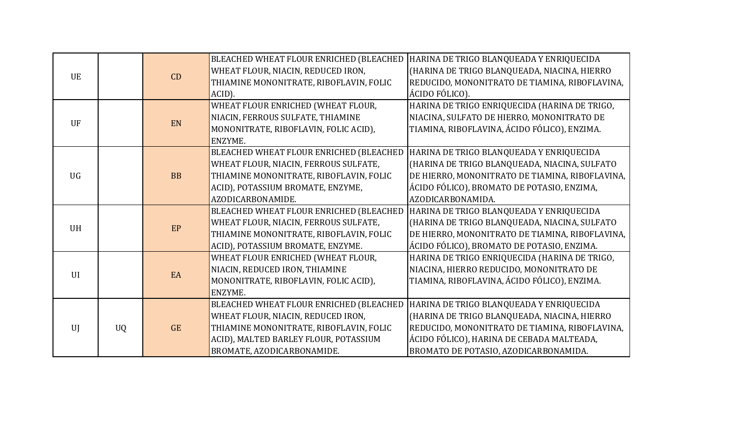|           |           |           | BLEACHED WHEAT FLOUR ENRICHED (BLEACHED | HARINA DE TRIGO BLANQUEADA Y ENRIQUECIDA                                                          |
|-----------|-----------|-----------|-----------------------------------------|---------------------------------------------------------------------------------------------------|
| <b>UE</b> |           | CD        | WHEAT FLOUR, NIACIN, REDUCED IRON,      | (HARINA DE TRIGO BLANQUEADA, NIACINA, HIERRO                                                      |
|           |           |           | THIAMINE MONONITRATE, RIBOFLAVIN, FOLIC | REDUCIDO, MONONITRATO DE TIAMINA, RIBOFLAVINA,                                                    |
|           |           |           | ACID).                                  | ÁCIDO FÓLICO).                                                                                    |
|           |           |           | WHEAT FLOUR ENRICHED (WHEAT FLOUR,      | HARINA DE TRIGO ENRIQUECIDA (HARINA DE TRIGO,                                                     |
| UF        |           | EN        | NIACIN, FERROUS SULFATE, THIAMINE       | NIACINA, SULFATO DE HIERRO, MONONITRATO DE                                                        |
|           |           |           | MONONITRATE, RIBOFLAVIN, FOLIC ACID),   | TIAMINA, RIBOFLAVINA, ÁCIDO FÓLICO), ENZIMA.                                                      |
|           |           |           | ENZYME.                                 |                                                                                                   |
|           |           |           | BLEACHED WHEAT FLOUR ENRICHED (BLEACHED | HARINA DE TRIGO BLANQUEADA Y ENRIQUECIDA                                                          |
|           |           |           | WHEAT FLOUR, NIACIN, FERROUS SULFATE,   | (HARINA DE TRIGO BLANQUEADA, NIACINA, SULFATO                                                     |
| <b>UG</b> |           | <b>BB</b> | THIAMINE MONONITRATE, RIBOFLAVIN, FOLIC | DE HIERRO, MONONITRATO DE TIAMINA, RIBOFLAVINA,                                                   |
|           |           |           | ACID), POTASSIUM BROMATE, ENZYME,       | ÁCIDO FÓLICO), BROMATO DE POTASIO, ENZIMA,                                                        |
|           |           |           | AZODICARBONAMIDE.                       | AZODICARBONAMIDA.                                                                                 |
|           |           |           | BLEACHED WHEAT FLOUR ENRICHED (BLEACHED | HARINA DE TRIGO BLANQUEADA Y ENRIQUECIDA                                                          |
|           |           |           |                                         |                                                                                                   |
|           |           |           | WHEAT FLOUR, NIACIN, FERROUS SULFATE,   | (HARINA DE TRIGO BLANQUEADA, NIACINA, SULFATO                                                     |
| <b>UH</b> |           | EP        | THIAMINE MONONITRATE, RIBOFLAVIN, FOLIC |                                                                                                   |
|           |           |           | ACID), POTASSIUM BROMATE, ENZYME.       | ÁCIDO FÓLICO), BROMATO DE POTASIO, ENZIMA.                                                        |
|           |           |           | WHEAT FLOUR ENRICHED (WHEAT FLOUR,      | HARINA DE TRIGO ENRIQUECIDA (HARINA DE TRIGO,                                                     |
|           |           |           | NIACIN, REDUCED IRON, THIAMINE          | NIACINA, HIERRO REDUCIDO, MONONITRATO DE                                                          |
| UI        |           | EA        | MONONITRATE, RIBOFLAVIN, FOLIC ACID),   | TIAMINA, RIBOFLAVINA, ÁCIDO FÓLICO), ENZIMA.                                                      |
|           |           |           | ENZYME.                                 |                                                                                                   |
|           |           |           | BLEACHED WHEAT FLOUR ENRICHED (BLEACHED | HARINA DE TRIGO BLANQUEADA Y ENRIQUECIDA                                                          |
|           |           |           | WHEAT FLOUR, NIACIN, REDUCED IRON,      | (HARINA DE TRIGO BLANQUEADA, NIACINA, HIERRO                                                      |
| U         | <b>UQ</b> | <b>GE</b> | THIAMINE MONONITRATE, RIBOFLAVIN, FOLIC | DE HIERRO, MONONITRATO DE TIAMINA, RIBOFLAVINA,<br>REDUCIDO, MONONITRATO DE TIAMINA, RIBOFLAVINA, |
|           |           |           | ACID), MALTED BARLEY FLOUR, POTASSIUM   | ÁCIDO FÓLICO), HARINA DE CEBADA MALTEADA,                                                         |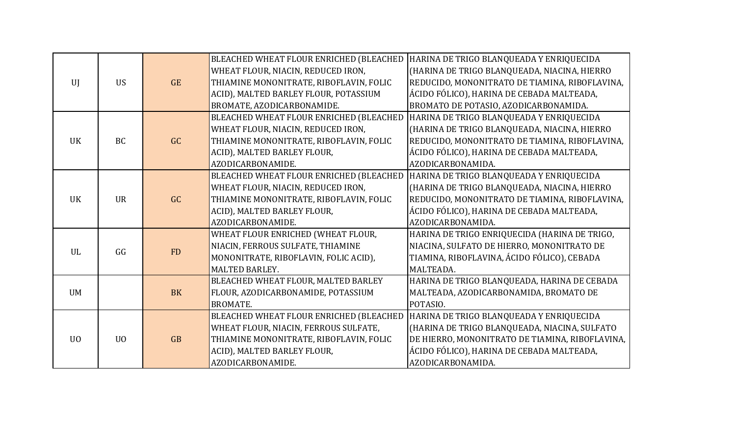|                |                |           | BLEACHED WHEAT FLOUR ENRICHED (BLEACHED | HARINA DE TRIGO BLANQUEADA Y ENRIQUECIDA        |
|----------------|----------------|-----------|-----------------------------------------|-------------------------------------------------|
|                |                |           | WHEAT FLOUR, NIACIN, REDUCED IRON,      | (HARINA DE TRIGO BLANQUEADA, NIACINA, HIERRO    |
| UI             | <b>US</b>      | <b>GE</b> | THIAMINE MONONITRATE, RIBOFLAVIN, FOLIC | REDUCIDO, MONONITRATO DE TIAMINA, RIBOFLAVINA,  |
|                |                |           | ACID), MALTED BARLEY FLOUR, POTASSIUM   | ÁCIDO FÓLICO), HARINA DE CEBADA MALTEADA,       |
|                |                |           | BROMATE, AZODICARBONAMIDE.              | BROMATO DE POTASIO, AZODICARBONAMIDA.           |
|                |                |           | BLEACHED WHEAT FLOUR ENRICHED (BLEACHED | HARINA DE TRIGO BLANQUEADA Y ENRIQUECIDA        |
|                |                |           | WHEAT FLOUR, NIACIN, REDUCED IRON,      | (HARINA DE TRIGO BLANQUEADA, NIACINA, HIERRO    |
| <b>UK</b>      | <b>BC</b>      | GC        | THIAMINE MONONITRATE, RIBOFLAVIN, FOLIC | REDUCIDO, MONONITRATO DE TIAMINA, RIBOFLAVINA,  |
|                |                |           | ACID), MALTED BARLEY FLOUR,             | ÁCIDO FÓLICO), HARINA DE CEBADA MALTEADA,       |
|                |                |           | AZODICARBONAMIDE.                       | AZODICARBONAMIDA.                               |
|                |                |           | BLEACHED WHEAT FLOUR ENRICHED (BLEACHED | HARINA DE TRIGO BLANQUEADA Y ENRIQUECIDA        |
|                |                |           | WHEAT FLOUR, NIACIN, REDUCED IRON,      | (HARINA DE TRIGO BLANQUEADA, NIACINA, HIERRO    |
| <b>UK</b>      | <b>UR</b>      | GC        | THIAMINE MONONITRATE, RIBOFLAVIN, FOLIC | REDUCIDO, MONONITRATO DE TIAMINA, RIBOFLAVINA,  |
|                |                |           | ACID), MALTED BARLEY FLOUR,             | ÁCIDO FÓLICO), HARINA DE CEBADA MALTEADA,       |
|                |                |           | AZODICARBONAMIDE.                       | AZODICARBONAMIDA.                               |
|                |                |           | WHEAT FLOUR ENRICHED (WHEAT FLOUR,      | HARINA DE TRIGO ENRIQUECIDA (HARINA DE TRIGO,   |
| UL             | GG             | <b>FD</b> | NIACIN, FERROUS SULFATE, THIAMINE       | NIACINA, SULFATO DE HIERRO, MONONITRATO DE      |
|                |                |           | MONONITRATE, RIBOFLAVIN, FOLIC ACID),   | TIAMINA, RIBOFLAVINA, ÁCIDO FÓLICO), CEBADA     |
|                |                |           | MALTED BARLEY.                          | MALTEADA.                                       |
|                |                |           | BLEACHED WHEAT FLOUR, MALTED BARLEY     | HARINA DE TRIGO BLANQUEADA, HARINA DE CEBADA    |
| <b>UM</b>      |                | <b>BK</b> | FLOUR, AZODICARBONAMIDE, POTASSIUM      | MALTEADA, AZODICARBONAMIDA, BROMATO DE          |
|                |                |           | <b>BROMATE.</b>                         | POTASIO.                                        |
|                |                |           | BLEACHED WHEAT FLOUR ENRICHED (BLEACHED | HARINA DE TRIGO BLANQUEADA Y ENRIQUECIDA        |
|                |                |           | WHEAT FLOUR, NIACIN, FERROUS SULFATE,   | (HARINA DE TRIGO BLANQUEADA, NIACINA, SULFATO   |
| U <sub>0</sub> | U <sub>0</sub> | GB        | THIAMINE MONONITRATE, RIBOFLAVIN, FOLIC | DE HIERRO, MONONITRATO DE TIAMINA, RIBOFLAVINA, |
|                |                |           | ACID), MALTED BARLEY FLOUR,             | ÁCIDO FÓLICO), HARINA DE CEBADA MALTEADA,       |
|                |                |           | AZODICARBONAMIDE.                       | AZODICARBONAMIDA.                               |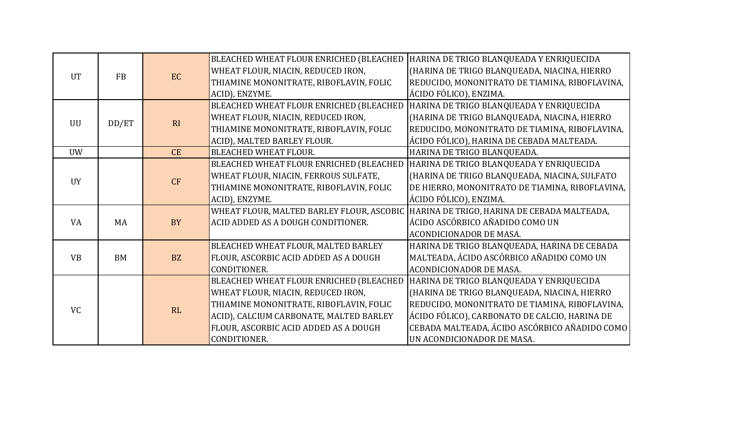|           |                        |           | BLEACHED WHEAT FLOUR ENRICHED (BLEACHED | HARINA DE TRIGO BLANQUEADA Y ENRIQUECIDA                                                |
|-----------|------------------------|-----------|-----------------------------------------|-----------------------------------------------------------------------------------------|
|           |                        |           | WHEAT FLOUR, NIACIN, REDUCED IRON,      | (HARINA DE TRIGO BLANQUEADA, NIACINA, HIERRO                                            |
|           | <b>UT</b><br><b>FB</b> | EC        | THIAMINE MONONITRATE, RIBOFLAVIN, FOLIC | REDUCIDO, MONONITRATO DE TIAMINA, RIBOFLAVINA,                                          |
|           |                        |           | ACID), ENZYME.                          | ÁCIDO FÓLICO), ENZIMA.                                                                  |
|           |                        |           | BLEACHED WHEAT FLOUR ENRICHED (BLEACHED | HARINA DE TRIGO BLANQUEADA Y ENRIQUECIDA                                                |
| <b>UU</b> | DD/ET                  | RI        | WHEAT FLOUR, NIACIN, REDUCED IRON,      | (HARINA DE TRIGO BLANQUEADA, NIACINA, HIERRO                                            |
|           |                        |           | THIAMINE MONONITRATE, RIBOFLAVIN, FOLIC | REDUCIDO, MONONITRATO DE TIAMINA, RIBOFLAVINA,                                          |
|           |                        |           | ACID), MALTED BARLEY FLOUR.             | ÁCIDO FÓLICO), HARINA DE CEBADA MALTEADA.                                               |
| <b>UW</b> |                        | CE        | <b>BLEACHED WHEAT FLOUR.</b>            | HARINA DE TRIGO BLANQUEADA.                                                             |
|           |                        |           | BLEACHED WHEAT FLOUR ENRICHED (BLEACHED | HARINA DE TRIGO BLANQUEADA Y ENRIQUECIDA                                                |
| <b>UY</b> |                        | CF        | WHEAT FLOUR, NIACIN, FERROUS SULFATE,   | (HARINA DE TRIGO BLANQUEADA, NIACINA, SULFATO                                           |
|           |                        |           | THIAMINE MONONITRATE, RIBOFLAVIN, FOLIC | DE HIERRO, MONONITRATO DE TIAMINA, RIBOFLAVINA,                                         |
|           |                        |           | ACID), ENZYME.                          | ÁCIDO FÓLICO), ENZIMA.                                                                  |
|           |                        |           |                                         | WHEAT FLOUR, MALTED BARLEY FLOUR, ASCOBIC   HARINA DE TRIGO, HARINA DE CEBADA MALTEADA, |
| <b>VA</b> | MA                     | <b>BY</b> | ACID ADDED AS A DOUGH CONDITIONER.      | ÁCIDO ASCÓRBICO AÑADIDO COMO UN                                                         |
|           |                        |           |                                         | ACONDICIONADOR DE MASA.                                                                 |
|           |                        |           | BLEACHED WHEAT FLOUR, MALTED BARLEY     | HARINA DE TRIGO BLANQUEADA, HARINA DE CEBADA                                            |
| <b>VB</b> | <b>BM</b>              | <b>BZ</b> | FLOUR, ASCORBIC ACID ADDED AS A DOUGH   | MALTEADA, ÁCIDO ASCÓRBICO AÑADIDO COMO UN                                               |
|           |                        |           | CONDITIONER.                            | <b>ACONDICIONADOR DE MASA.</b>                                                          |
|           |                        |           | BLEACHED WHEAT FLOUR ENRICHED (BLEACHED | HARINA DE TRIGO BLANQUEADA Y ENRIQUECIDA                                                |
|           |                        |           | WHEAT FLOUR, NIACIN, REDUCED IRON,      | (HARINA DE TRIGO BLANQUEADA, NIACINA, HIERRO                                            |
| <b>VC</b> |                        | RL        | THIAMINE MONONITRATE, RIBOFLAVIN, FOLIC | REDUCIDO, MONONITRATO DE TIAMINA, RIBOFLAVINA,                                          |
|           |                        |           | ACID), CALCIUM CARBONATE, MALTED BARLEY | ÁCIDO FÓLICO), CARBONATO DE CALCIO, HARINA DE                                           |
|           |                        |           | FLOUR, ASCORBIC ACID ADDED AS A DOUGH   | CEBADA MALTEADA, ÁCIDO ASCÓRBICO AÑADIDO COMO                                           |
|           |                        |           | CONDITIONER.                            | UN ACONDICIONADOR DE MASA.                                                              |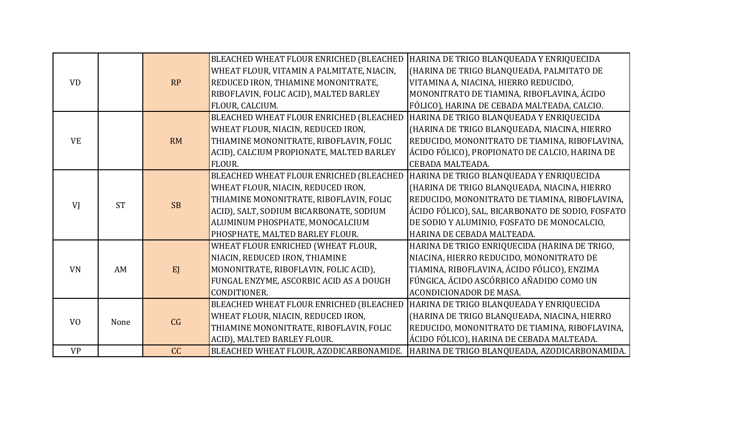|                |           |           | BLEACHED WHEAT FLOUR ENRICHED (BLEACHED   | HARINA DE TRIGO BLANQUEADA Y ENRIQUECIDA                                              |
|----------------|-----------|-----------|-------------------------------------------|---------------------------------------------------------------------------------------|
|                |           |           | WHEAT FLOUR, VITAMIN A PALMITATE, NIACIN, | (HARINA DE TRIGO BLANQUEADA, PALMITATO DE                                             |
| <b>VD</b>      |           | RP        | REDUCED IRON, THIAMINE MONONITRATE,       | VITAMINA A, NIACINA, HIERRO REDUCIDO,                                                 |
|                |           |           | RIBOFLAVIN, FOLIC ACID), MALTED BARLEY    | MONONITRATO DE TIAMINA, RIBOFLAVINA, ÁCIDO                                            |
|                |           |           | FLOUR, CALCIUM.                           | FÓLICO), HARINA DE CEBADA MALTEADA, CALCIO.                                           |
|                |           |           | BLEACHED WHEAT FLOUR ENRICHED (BLEACHED   | HARINA DE TRIGO BLANQUEADA Y ENRIQUECIDA                                              |
|                |           |           | WHEAT FLOUR, NIACIN, REDUCED IRON,        | (HARINA DE TRIGO BLANQUEADA, NIACINA, HIERRO                                          |
| <b>VE</b>      |           | <b>RM</b> | THIAMINE MONONITRATE, RIBOFLAVIN, FOLIC   | REDUCIDO, MONONITRATO DE TIAMINA, RIBOFLAVINA,                                        |
|                |           |           | ACID), CALCIUM PROPIONATE, MALTED BARLEY  | ÁCIDO FÓLICO), PROPIONATO DE CALCIO, HARINA DE                                        |
|                |           |           | FLOUR.                                    | CEBADA MALTEADA.                                                                      |
|                |           |           | BLEACHED WHEAT FLOUR ENRICHED (BLEACHED   | HARINA DE TRIGO BLANQUEADA Y ENRIQUECIDA                                              |
|                |           |           | WHEAT FLOUR, NIACIN, REDUCED IRON,        | (HARINA DE TRIGO BLANQUEADA, NIACINA, HIERRO                                          |
| VI             | <b>ST</b> | <b>SB</b> | THIAMINE MONONITRATE, RIBOFLAVIN, FOLIC   | REDUCIDO, MONONITRATO DE TIAMINA, RIBOFLAVINA,                                        |
|                |           |           | ACID), SALT, SODIUM BICARBONATE, SODIUM   | ÁCIDO FÓLICO), SAL, BICARBONATO DE SODIO, FOSFATO                                     |
|                |           |           | ALUMINUM PHOSPHATE, MONOCALCIUM           | DE SODIO Y ALUMINIO, FOSFATO DE MONOCALCIO,                                           |
|                |           |           | PHOSPHATE, MALTED BARLEY FLOUR.           | HARINA DE CEBADA MALTEADA.                                                            |
|                |           |           | WHEAT FLOUR ENRICHED (WHEAT FLOUR,        | HARINA DE TRIGO ENRIQUECIDA (HARINA DE TRIGO,                                         |
|                |           |           | NIACIN, REDUCED IRON, THIAMINE            | NIACINA, HIERRO REDUCIDO, MONONITRATO DE                                              |
| <b>VN</b>      | AM        | EJ        | MONONITRATE, RIBOFLAVIN, FOLIC ACID),     | TIAMINA, RIBOFLAVINA, ÁCIDO FÓLICO), ENZIMA                                           |
|                |           |           | FUNGAL ENZYME, ASCORBIC ACID AS A DOUGH   | FÚNGICA, ÁCIDO ASCÓRBICO AÑADIDO COMO UN                                              |
|                |           |           | CONDITIONER.                              | <b>ACONDICIONADOR DE MASA.</b>                                                        |
|                |           |           | BLEACHED WHEAT FLOUR ENRICHED (BLEACHED   | HARINA DE TRIGO BLANQUEADA Y ENRIQUECIDA                                              |
| V <sub>O</sub> | None      |           | WHEAT FLOUR, NIACIN, REDUCED IRON,        | (HARINA DE TRIGO BLANQUEADA, NIACINA, HIERRO                                          |
|                |           | CG        | THIAMINE MONONITRATE, RIBOFLAVIN, FOLIC   | REDUCIDO, MONONITRATO DE TIAMINA, RIBOFLAVINA,                                        |
|                |           |           | ACID), MALTED BARLEY FLOUR.               | ÁCIDO FÓLICO), HARINA DE CEBADA MALTEADA.                                             |
| <b>VP</b>      |           | CC        |                                           | BLEACHED WHEAT FLOUR, AZODICARBONAMIDE. HARINA DE TRIGO BLANQUEADA, AZODICARBONAMIDA. |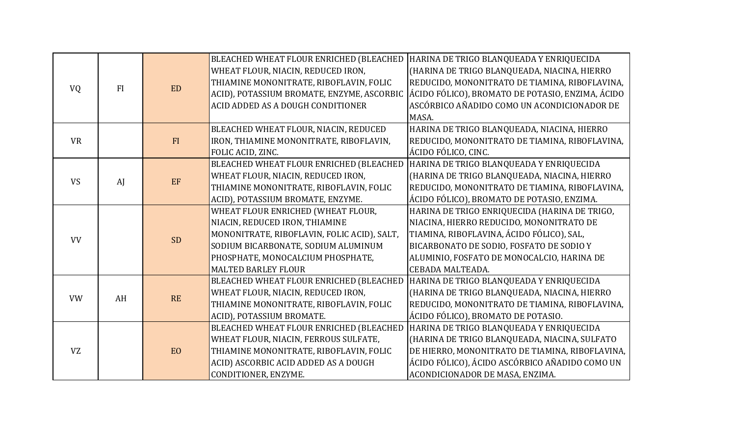|           |           |           | BLEACHED WHEAT FLOUR ENRICHED (BLEACHED     | HARINA DE TRIGO BLANQUEADA Y ENRIQUECIDA         |
|-----------|-----------|-----------|---------------------------------------------|--------------------------------------------------|
|           |           |           | WHEAT FLOUR, NIACIN, REDUCED IRON,          | (HARINA DE TRIGO BLANQUEADA, NIACINA, HIERRO     |
|           | <b>FI</b> | <b>ED</b> | THIAMINE MONONITRATE, RIBOFLAVIN, FOLIC     | REDUCIDO, MONONITRATO DE TIAMINA, RIBOFLAVINA,   |
| <b>VQ</b> |           |           | ACID), POTASSIUM BROMATE, ENZYME, ASCORBIC  | ÁCIDO FÓLICO), BROMATO DE POTASIO, ENZIMA, ÁCIDO |
|           |           |           | ACID ADDED AS A DOUGH CONDITIONER           | ASCÓRBICO AÑADIDO COMO UN ACONDICIONADOR DE      |
|           |           |           |                                             | MASA.                                            |
|           |           |           | BLEACHED WHEAT FLOUR, NIACIN, REDUCED       | HARINA DE TRIGO BLANQUEADA, NIACINA, HIERRO      |
| <b>VR</b> |           | FI        | IRON, THIAMINE MONONITRATE, RIBOFLAVIN,     | REDUCIDO, MONONITRATO DE TIAMINA, RIBOFLAVINA,   |
|           |           |           | FOLIC ACID, ZINC.                           | ÁCIDO FÓLICO, CINC.                              |
|           |           |           | BLEACHED WHEAT FLOUR ENRICHED (BLEACHED     | HARINA DE TRIGO BLANQUEADA Y ENRIQUECIDA         |
| <b>VS</b> | AI        | $\rm EF$  | WHEAT FLOUR, NIACIN, REDUCED IRON,          | (HARINA DE TRIGO BLANQUEADA, NIACINA, HIERRO     |
|           |           |           | THIAMINE MONONITRATE, RIBOFLAVIN, FOLIC     | REDUCIDO, MONONITRATO DE TIAMINA, RIBOFLAVINA,   |
|           |           |           | ACID), POTASSIUM BROMATE, ENZYME.           | ÁCIDO FÓLICO), BROMATO DE POTASIO, ENZIMA.       |
|           |           |           | WHEAT FLOUR ENRICHED (WHEAT FLOUR,          | HARINA DE TRIGO ENRIQUECIDA (HARINA DE TRIGO,    |
|           |           |           | NIACIN, REDUCED IRON, THIAMINE              | NIACINA, HIERRO REDUCIDO, MONONITRATO DE         |
| <b>VV</b> |           | <b>SD</b> | MONONITRATE, RIBOFLAVIN, FOLIC ACID), SALT, | TIAMINA, RIBOFLAVINA, ÁCIDO FÓLICO), SAL,        |
|           |           |           | SODIUM BICARBONATE, SODIUM ALUMINUM         | BICARBONATO DE SODIO, FOSFATO DE SODIO Y         |
|           |           |           | PHOSPHATE, MONOCALCIUM PHOSPHATE,           | ALUMINIO, FOSFATO DE MONOCALCIO, HARINA DE       |
|           |           |           | <b>MALTED BARLEY FLOUR</b>                  | CEBADA MALTEADA.                                 |
|           |           |           | BLEACHED WHEAT FLOUR ENRICHED (BLEACHED     | HARINA DE TRIGO BLANQUEADA Y ENRIQUECIDA         |
| <b>VW</b> | AH        | RE        | WHEAT FLOUR, NIACIN, REDUCED IRON,          | (HARINA DE TRIGO BLANQUEADA, NIACINA, HIERRO     |
|           |           |           | THIAMINE MONONITRATE, RIBOFLAVIN, FOLIC     | REDUCIDO, MONONITRATO DE TIAMINA, RIBOFLAVINA,   |
|           |           |           | ACID), POTASSIUM BROMATE.                   | ÁCIDO FÓLICO), BROMATO DE POTASIO.               |
|           |           |           | BLEACHED WHEAT FLOUR ENRICHED (BLEACHED     | HARINA DE TRIGO BLANQUEADA Y ENRIQUECIDA         |
|           |           |           | WHEAT FLOUR, NIACIN, FERROUS SULFATE,       | (HARINA DE TRIGO BLANQUEADA, NIACINA, SULFATO    |
| <b>VZ</b> |           | EO        | THIAMINE MONONITRATE, RIBOFLAVIN, FOLIC     | DE HIERRO, MONONITRATO DE TIAMINA, RIBOFLAVINA,  |
|           |           |           | ACID) ASCORBIC ACID ADDED AS A DOUGH        | ÁCIDO FÓLICO), ÁCIDO ASCÓRBICO AÑADIDO COMO UN   |
|           |           |           | CONDITIONER, ENZYME.                        | ACONDICIONADOR DE MASA, ENZIMA.                  |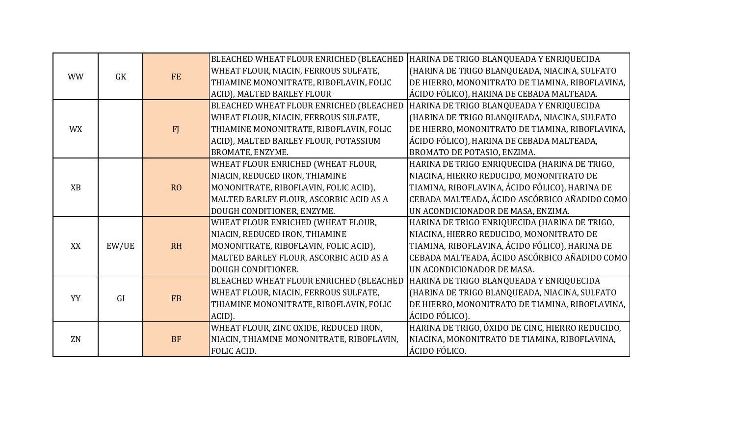|           |           |                | BLEACHED WHEAT FLOUR ENRICHED (BLEACHED   | HARINA DE TRIGO BLANQUEADA Y ENRIQUECIDA         |
|-----------|-----------|----------------|-------------------------------------------|--------------------------------------------------|
| <b>WW</b> | <b>GK</b> | <b>FE</b>      | WHEAT FLOUR, NIACIN, FERROUS SULFATE,     | (HARINA DE TRIGO BLANQUEADA, NIACINA, SULFATO    |
|           |           |                | THIAMINE MONONITRATE, RIBOFLAVIN, FOLIC   | DE HIERRO, MONONITRATO DE TIAMINA, RIBOFLAVINA,  |
|           |           |                | ACID), MALTED BARLEY FLOUR                | ÁCIDO FÓLICO), HARINA DE CEBADA MALTEADA.        |
|           |           |                | BLEACHED WHEAT FLOUR ENRICHED (BLEACHED   | HARINA DE TRIGO BLANQUEADA Y ENRIQUECIDA         |
|           |           |                | WHEAT FLOUR, NIACIN, FERROUS SULFATE,     | (HARINA DE TRIGO BLANQUEADA, NIACINA, SULFATO    |
| <b>WX</b> |           | FJ             | THIAMINE MONONITRATE, RIBOFLAVIN, FOLIC   | DE HIERRO, MONONITRATO DE TIAMINA, RIBOFLAVINA,  |
|           |           |                | ACID), MALTED BARLEY FLOUR, POTASSIUM     | ÁCIDO FÓLICO), HARINA DE CEBADA MALTEADA,        |
|           |           |                | BROMATE, ENZYME.                          | BROMATO DE POTASIO, ENZIMA.                      |
|           |           |                | WHEAT FLOUR ENRICHED (WHEAT FLOUR,        | HARINA DE TRIGO ENRIQUECIDA (HARINA DE TRIGO,    |
|           |           |                | NIACIN, REDUCED IRON, THIAMINE            | NIACINA, HIERRO REDUCIDO, MONONITRATO DE         |
| <b>XB</b> |           | R <sub>O</sub> | MONONITRATE, RIBOFLAVIN, FOLIC ACID),     | TIAMINA, RIBOFLAVINA, ÁCIDO FÓLICO), HARINA DE   |
|           |           |                | MALTED BARLEY FLOUR, ASCORBIC ACID AS A   | CEBADA MALTEADA, ÁCIDO ASCÓRBICO AÑADIDO COMO    |
|           |           |                | DOUGH CONDITIONER, ENZYME.                | UN ACONDICIONADOR DE MASA, ENZIMA.               |
|           |           |                | WHEAT FLOUR ENRICHED (WHEAT FLOUR,        | HARINA DE TRIGO ENRIQUECIDA (HARINA DE TRIGO,    |
|           |           |                | NIACIN, REDUCED IRON, THIAMINE            | NIACINA, HIERRO REDUCIDO, MONONITRATO DE         |
| XX        | EW/UE     | <b>RH</b>      | MONONITRATE, RIBOFLAVIN, FOLIC ACID),     | TIAMINA, RIBOFLAVINA, ÁCIDO FÓLICO), HARINA DE   |
|           |           |                | MALTED BARLEY FLOUR, ASCORBIC ACID AS A   | CEBADA MALTEADA, ÁCIDO ASCÓRBICO AÑADIDO COMO    |
|           |           |                | DOUGH CONDITIONER.                        | UN ACONDICIONADOR DE MASA.                       |
|           |           |                | BLEACHED WHEAT FLOUR ENRICHED (BLEACHED   | HARINA DE TRIGO BLANQUEADA Y ENRIQUECIDA         |
| YY        | <b>GI</b> | <b>FB</b>      | WHEAT FLOUR, NIACIN, FERROUS SULFATE,     | (HARINA DE TRIGO BLANQUEADA, NIACINA, SULFATO    |
|           |           |                | THIAMINE MONONITRATE, RIBOFLAVIN, FOLIC   | DE HIERRO, MONONITRATO DE TIAMINA, RIBOFLAVINA,  |
|           |           |                | ACID).                                    | ÁCIDO FÓLICO).                                   |
|           |           |                | WHEAT FLOUR, ZINC OXIDE, REDUCED IRON,    | HARINA DE TRIGO, ÓXIDO DE CINC, HIERRO REDUCIDO, |
| ZN        |           | <b>BF</b>      | NIACIN, THIAMINE MONONITRATE, RIBOFLAVIN, | NIACINA, MONONITRATO DE TIAMINA, RIBOFLAVINA,    |
|           |           |                | FOLIC ACID.                               | ÁCIDO FÓLICO.                                    |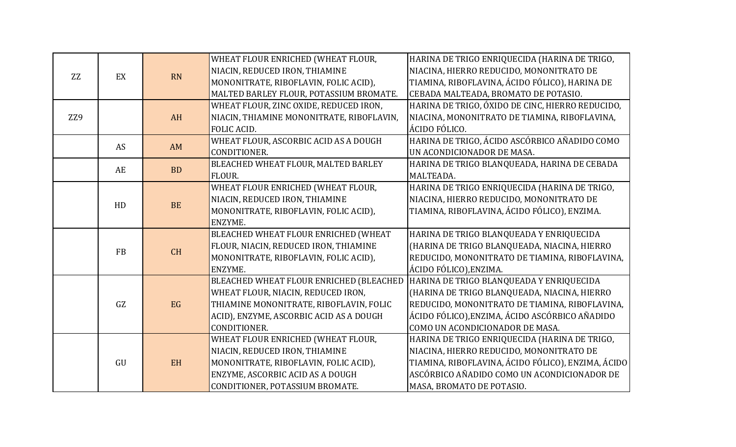|     |           |           | WHEAT FLOUR ENRICHED (WHEAT FLOUR,        | HARINA DE TRIGO ENRIQUECIDA (HARINA DE TRIGO,      |
|-----|-----------|-----------|-------------------------------------------|----------------------------------------------------|
| ZZ  | EX        | <b>RN</b> | NIACIN, REDUCED IRON, THIAMINE            | NIACINA, HIERRO REDUCIDO, MONONITRATO DE           |
|     |           |           | MONONITRATE, RIBOFLAVIN, FOLIC ACID),     | TIAMINA, RIBOFLAVINA, ÁCIDO FÓLICO), HARINA DE     |
|     |           |           | MALTED BARLEY FLOUR, POTASSIUM BROMATE.   | CEBADA MALTEADA, BROMATO DE POTASIO.               |
|     |           |           | WHEAT FLOUR, ZINC OXIDE, REDUCED IRON,    | HARINA DE TRIGO, ÓXIDO DE CINC, HIERRO REDUCIDO,   |
| ZZ9 |           | AH        | NIACIN, THIAMINE MONONITRATE, RIBOFLAVIN, | NIACINA, MONONITRATO DE TIAMINA, RIBOFLAVINA,      |
|     |           |           | FOLIC ACID.                               | ÁCIDO FÓLICO.                                      |
|     | AS        | AM        | WHEAT FLOUR, ASCORBIC ACID AS A DOUGH     | HARINA DE TRIGO, ÁCIDO ASCÓRBICO AÑADIDO COMO      |
|     |           |           | CONDITIONER.                              | UN ACONDICIONADOR DE MASA.                         |
|     | AE        | <b>BD</b> | BLEACHED WHEAT FLOUR, MALTED BARLEY       | HARINA DE TRIGO BLANQUEADA, HARINA DE CEBADA       |
|     |           |           | FLOUR.                                    | MALTEADA.                                          |
|     |           |           | WHEAT FLOUR ENRICHED (WHEAT FLOUR,        | HARINA DE TRIGO ENRIQUECIDA (HARINA DE TRIGO,      |
|     |           | <b>BE</b> | NIACIN, REDUCED IRON, THIAMINE            | NIACINA, HIERRO REDUCIDO, MONONITRATO DE           |
|     | HD        |           | MONONITRATE, RIBOFLAVIN, FOLIC ACID),     | TIAMINA, RIBOFLAVINA, ÁCIDO FÓLICO), ENZIMA.       |
|     |           |           | ENZYME.                                   |                                                    |
|     |           |           | BLEACHED WHEAT FLOUR ENRICHED (WHEAT      | HARINA DE TRIGO BLANQUEADA Y ENRIQUECIDA           |
|     | <b>FB</b> | CH        | FLOUR, NIACIN, REDUCED IRON, THIAMINE     | (HARINA DE TRIGO BLANQUEADA, NIACINA, HIERRO       |
|     |           |           | MONONITRATE, RIBOFLAVIN, FOLIC ACID),     | REDUCIDO, MONONITRATO DE TIAMINA, RIBOFLAVINA,     |
|     |           |           | ENZYME.                                   | ÁCIDO FÓLICO), ENZIMA.                             |
|     |           |           | BLEACHED WHEAT FLOUR ENRICHED (BLEACHED   | HARINA DE TRIGO BLANQUEADA Y ENRIQUECIDA           |
|     |           |           | WHEAT FLOUR, NIACIN, REDUCED IRON,        | (HARINA DE TRIGO BLANQUEADA, NIACINA, HIERRO       |
|     | GZ        | EG        | THIAMINE MONONITRATE, RIBOFLAVIN, FOLIC   | REDUCIDO, MONONITRATO DE TIAMINA, RIBOFLAVINA,     |
|     |           |           | ACID), ENZYME, ASCORBIC ACID AS A DOUGH   | ÁCIDO FÓLICO),ENZIMA, ÁCIDO ASCÓRBICO AÑADIDO      |
|     |           |           | CONDITIONER.                              | COMO UN ACONDICIONADOR DE MASA.                    |
|     |           |           | WHEAT FLOUR ENRICHED (WHEAT FLOUR,        | HARINA DE TRIGO ENRIQUECIDA (HARINA DE TRIGO,      |
|     |           |           | NIACIN, REDUCED IRON, THIAMINE            | NIACINA, HIERRO REDUCIDO, MONONITRATO DE           |
|     | GU        | EH        | MONONITRATE, RIBOFLAVIN, FOLIC ACID),     | TIAMINA, RIBOFLAVINA, ÁCIDO FÓLICO), ENZIMA, ÁCIDO |
|     |           |           | ENZYME, ASCORBIC ACID AS A DOUGH          | ASCÓRBICO AÑADIDO COMO UN ACONDICIONADOR DE        |
|     |           |           | CONDITIONER, POTASSIUM BROMATE.           | MASA, BROMATO DE POTASIO.                          |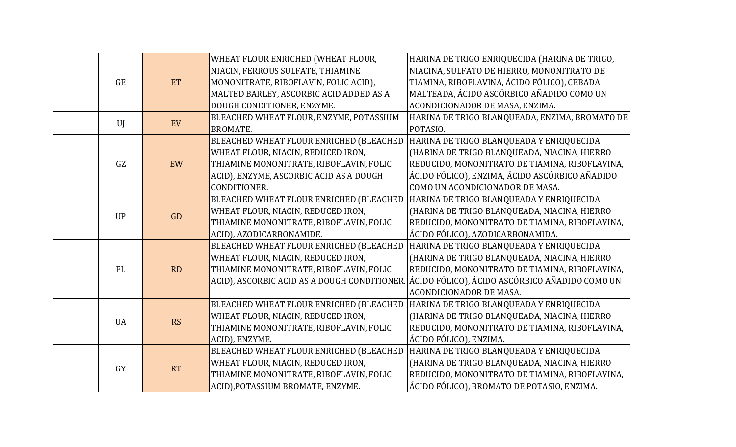|  | <b>GE</b> | ET        | WHEAT FLOUR ENRICHED (WHEAT FLOUR,           | HARINA DE TRIGO ENRIQUECIDA (HARINA DE TRIGO,  |
|--|-----------|-----------|----------------------------------------------|------------------------------------------------|
|  |           |           | NIACIN, FERROUS SULFATE, THIAMINE            | NIACINA, SULFATO DE HIERRO, MONONITRATO DE     |
|  |           |           | MONONITRATE, RIBOFLAVIN, FOLIC ACID),        | TIAMINA, RIBOFLAVINA, ÁCIDO FÓLICO), CEBADA    |
|  |           |           | MALTED BARLEY, ASCORBIC ACID ADDED AS A      | MALTEADA, ÁCIDO ASCÓRBICO AÑADIDO COMO UN      |
|  |           |           | DOUGH CONDITIONER, ENZYME.                   | ACONDICIONADOR DE MASA, ENZIMA.                |
|  | UI        | EV        | BLEACHED WHEAT FLOUR, ENZYME, POTASSIUM      | HARINA DE TRIGO BLANQUEADA, ENZIMA, BROMATO DE |
|  |           |           | <b>BROMATE.</b>                              | POTASIO.                                       |
|  | GZ        | EW        | BLEACHED WHEAT FLOUR ENRICHED (BLEACHED      | HARINA DE TRIGO BLANQUEADA Y ENRIQUECIDA       |
|  |           |           | WHEAT FLOUR, NIACIN, REDUCED IRON,           | (HARINA DE TRIGO BLANQUEADA, NIACINA, HIERRO   |
|  |           |           | THIAMINE MONONITRATE, RIBOFLAVIN, FOLIC      | REDUCIDO, MONONITRATO DE TIAMINA, RIBOFLAVINA, |
|  |           |           | ACID), ENZYME, ASCORBIC ACID AS A DOUGH      | ÁCIDO FÓLICO), ENZIMA, ÁCIDO ASCÓRBICO AÑADIDO |
|  |           |           | CONDITIONER.                                 | COMO UN ACONDICIONADOR DE MASA.                |
|  | <b>UP</b> | GD        | BLEACHED WHEAT FLOUR ENRICHED (BLEACHED      | HARINA DE TRIGO BLANQUEADA Y ENRIQUECIDA       |
|  |           |           | WHEAT FLOUR, NIACIN, REDUCED IRON,           | (HARINA DE TRIGO BLANQUEADA, NIACINA, HIERRO   |
|  |           |           | THIAMINE MONONITRATE, RIBOFLAVIN, FOLIC      | REDUCIDO, MONONITRATO DE TIAMINA, RIBOFLAVINA, |
|  |           |           | ACID), AZODICARBONAMIDE.                     | ÁCIDO FÓLICO), AZODICARBONAMIDA.               |
|  | <b>FL</b> | RD        | BLEACHED WHEAT FLOUR ENRICHED (BLEACHED      | HARINA DE TRIGO BLANQUEADA Y ENRIQUECIDA       |
|  |           |           | WHEAT FLOUR, NIACIN, REDUCED IRON,           | (HARINA DE TRIGO BLANQUEADA, NIACINA, HIERRO   |
|  |           |           | THIAMINE MONONITRATE, RIBOFLAVIN, FOLIC      | REDUCIDO, MONONITRATO DE TIAMINA, RIBOFLAVINA, |
|  |           |           | ACID), ASCORBIC ACID AS A DOUGH CONDITIONER. | ÁCIDO FÓLICO), ÁCIDO ASCÓRBICO AÑADIDO COMO UN |
|  |           |           |                                              | <b>ACONDICIONADOR DE MASA.</b>                 |
|  | <b>UA</b> | <b>RS</b> | BLEACHED WHEAT FLOUR ENRICHED (BLEACHED      | HARINA DE TRIGO BLANQUEADA Y ENRIQUECIDA       |
|  |           |           | WHEAT FLOUR, NIACIN, REDUCED IRON,           | (HARINA DE TRIGO BLANQUEADA, NIACINA, HIERRO   |
|  |           |           | THIAMINE MONONITRATE, RIBOFLAVIN, FOLIC      | REDUCIDO, MONONITRATO DE TIAMINA, RIBOFLAVINA, |
|  |           |           | ACID), ENZYME.                               | ÁCIDO FÓLICO), ENZIMA.                         |
|  | <b>GY</b> | RT        | BLEACHED WHEAT FLOUR ENRICHED (BLEACHED      | HARINA DE TRIGO BLANQUEADA Y ENRIQUECIDA       |
|  |           |           | WHEAT FLOUR, NIACIN, REDUCED IRON,           | (HARINA DE TRIGO BLANQUEADA, NIACINA, HIERRO   |
|  |           |           | THIAMINE MONONITRATE, RIBOFLAVIN, FOLIC      | REDUCIDO, MONONITRATO DE TIAMINA, RIBOFLAVINA, |
|  |           |           | ACID), POTASSIUM BROMATE, ENZYME.            | ÁCIDO FÓLICO), BROMATO DE POTASIO, ENZIMA.     |